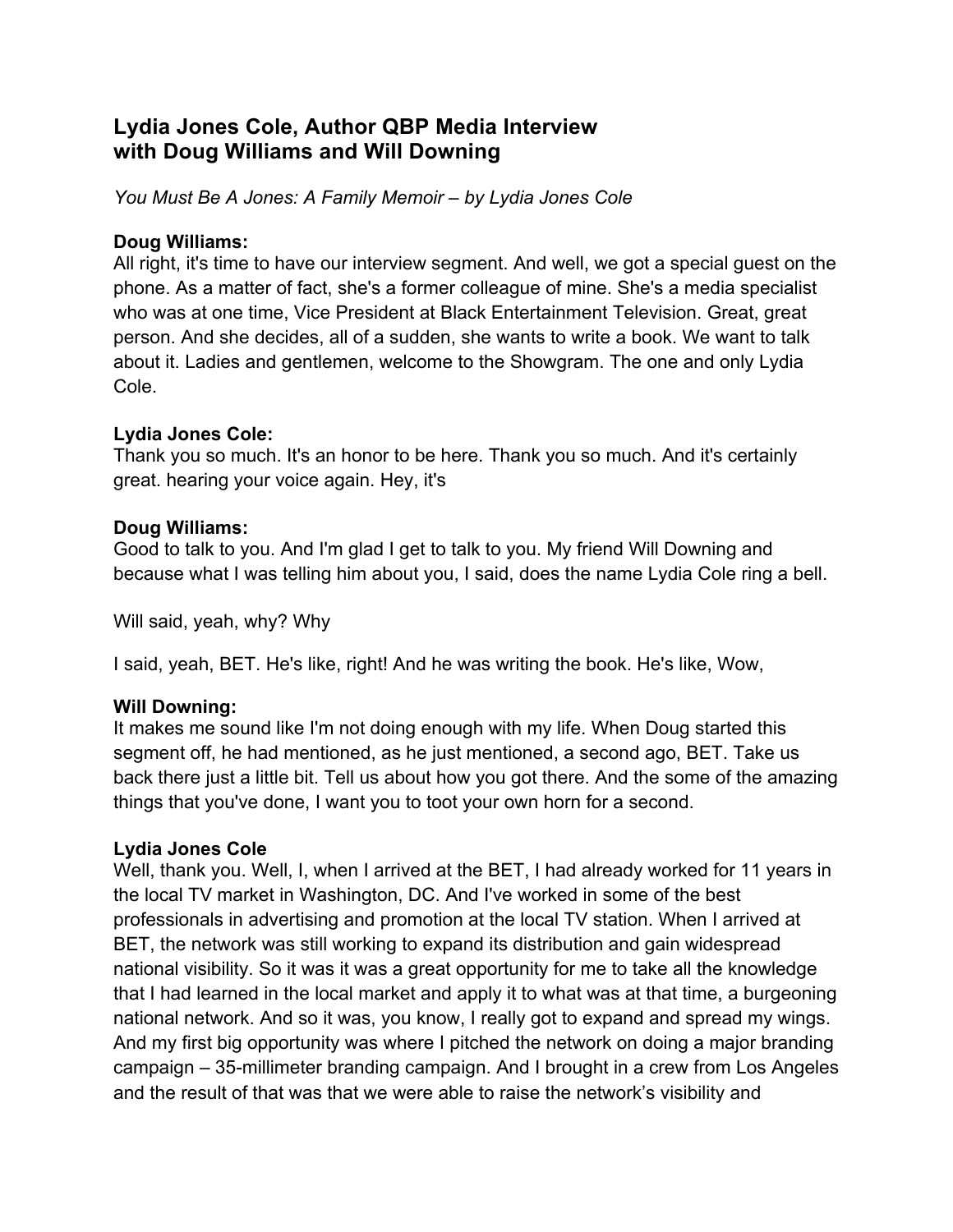# **Lydia Jones Cole, Author QBP Media Interview with Doug Williams and Will Downing**

*You Must Be A Jones: A Family Memoir – by Lydia Jones Cole*

## **Doug Williams:**

All right, it's time to have our interview segment. And well, we got a special guest on the phone. As a matter of fact, she's a former colleague of mine. She's a media specialist who was at one time, Vice President at Black Entertainment Television. Great, great person. And she decides, all of a sudden, she wants to write a book. We want to talk about it. Ladies and gentlemen, welcome to the Showgram. The one and only Lydia Cole.

# **Lydia Jones Cole:**

Thank you so much. It's an honor to be here. Thank you so much. And it's certainly great. hearing your voice again. Hey, it's

## **Doug Williams:**

Good to talk to you. And I'm glad I get to talk to you. My friend Will Downing and because what I was telling him about you, I said, does the name Lydia Cole ring a bell.

Will said, yeah, why? Why

I said, yeah, BET. He's like, right! And he was writing the book. He's like, Wow,

### **Will Downing:**

It makes me sound like I'm not doing enough with my life. When Doug started this segment off, he had mentioned, as he just mentioned, a second ago, BET. Take us back there just a little bit. Tell us about how you got there. And the some of the amazing things that you've done, I want you to toot your own horn for a second.

### **Lydia Jones Cole**

Well, thank you. Well, I, when I arrived at the BET, I had already worked for 11 years in the local TV market in Washington, DC. And I've worked in some of the best professionals in advertising and promotion at the local TV station. When I arrived at BET, the network was still working to expand its distribution and gain widespread national visibility. So it was it was a great opportunity for me to take all the knowledge that I had learned in the local market and apply it to what was at that time, a burgeoning national network. And so it was, you know, I really got to expand and spread my wings. And my first big opportunity was where I pitched the network on doing a major branding campaign – 35-millimeter branding campaign. And I brought in a crew from Los Angeles and the result of that was that we were able to raise the network's visibility and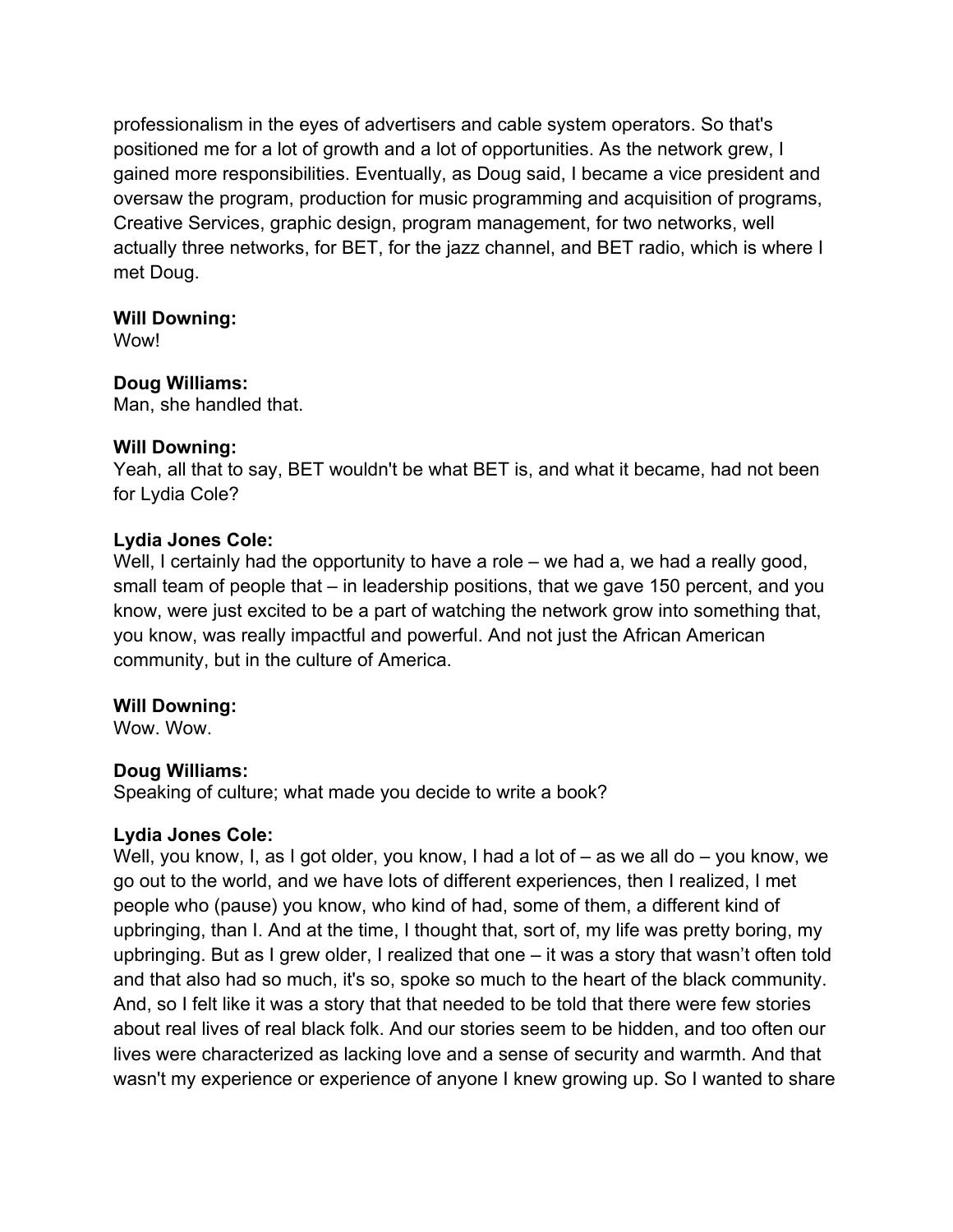professionalism in the eyes of advertisers and cable system operators. So that's positioned me for a lot of growth and a lot of opportunities. As the network grew, I gained more responsibilities. Eventually, as Doug said, I became a vice president and oversaw the program, production for music programming and acquisition of programs, Creative Services, graphic design, program management, for two networks, well actually three networks, for BET, for the jazz channel, and BET radio, which is where I met Doug.

### **Will Downing:**

Wow!

# **Doug Williams:**

Man, she handled that.

## **Will Downing:**

Yeah, all that to say, BET wouldn't be what BET is, and what it became, had not been for Lydia Cole?

# **Lydia Jones Cole:**

Well, I certainly had the opportunity to have a role – we had a, we had a really good, small team of people that – in leadership positions, that we gave 150 percent, and you know, were just excited to be a part of watching the network grow into something that, you know, was really impactful and powerful. And not just the African American community, but in the culture of America.

# **Will Downing:**

Wow. Wow.

# **Doug Williams:**

Speaking of culture; what made you decide to write a book?

# **Lydia Jones Cole:**

Well, you know, I, as I got older, you know, I had a lot of – as we all do – you know, we go out to the world, and we have lots of different experiences, then I realized, I met people who (pause) you know, who kind of had, some of them, a different kind of upbringing, than I. And at the time, I thought that, sort of, my life was pretty boring, my upbringing. But as I grew older, I realized that one – it was a story that wasn't often told and that also had so much, it's so, spoke so much to the heart of the black community. And, so I felt like it was a story that that needed to be told that there were few stories about real lives of real black folk. And our stories seem to be hidden, and too often our lives were characterized as lacking love and a sense of security and warmth. And that wasn't my experience or experience of anyone I knew growing up. So I wanted to share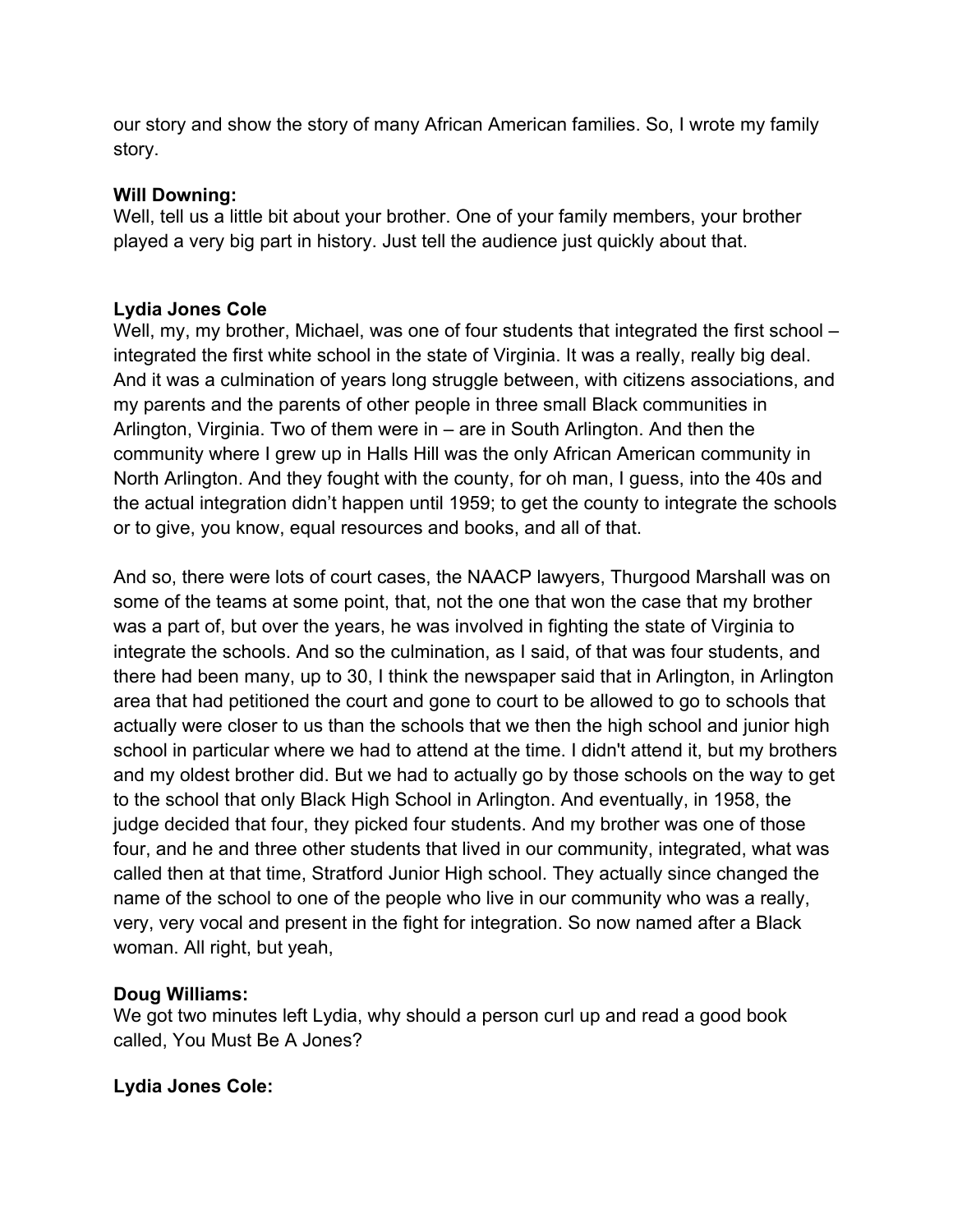our story and show the story of many African American families. So, I wrote my family story.

## **Will Downing:**

Well, tell us a little bit about your brother. One of your family members, your brother played a very big part in history. Just tell the audience just quickly about that.

## **Lydia Jones Cole**

Well, my, my brother, Michael, was one of four students that integrated the first school – integrated the first white school in the state of Virginia. It was a really, really big deal. And it was a culmination of years long struggle between, with citizens associations, and my parents and the parents of other people in three small Black communities in Arlington, Virginia. Two of them were in – are in South Arlington. And then the community where I grew up in Halls Hill was the only African American community in North Arlington. And they fought with the county, for oh man, I guess, into the 40s and the actual integration didn't happen until 1959; to get the county to integrate the schools or to give, you know, equal resources and books, and all of that.

And so, there were lots of court cases, the NAACP lawyers, Thurgood Marshall was on some of the teams at some point, that, not the one that won the case that my brother was a part of, but over the years, he was involved in fighting the state of Virginia to integrate the schools. And so the culmination, as I said, of that was four students, and there had been many, up to 30, I think the newspaper said that in Arlington, in Arlington area that had petitioned the court and gone to court to be allowed to go to schools that actually were closer to us than the schools that we then the high school and junior high school in particular where we had to attend at the time. I didn't attend it, but my brothers and my oldest brother did. But we had to actually go by those schools on the way to get to the school that only Black High School in Arlington. And eventually, in 1958, the judge decided that four, they picked four students. And my brother was one of those four, and he and three other students that lived in our community, integrated, what was called then at that time, Stratford Junior High school. They actually since changed the name of the school to one of the people who live in our community who was a really, very, very vocal and present in the fight for integration. So now named after a Black woman. All right, but yeah,

# **Doug Williams:**

We got two minutes left Lydia, why should a person curl up and read a good book called, You Must Be A Jones?

# **Lydia Jones Cole:**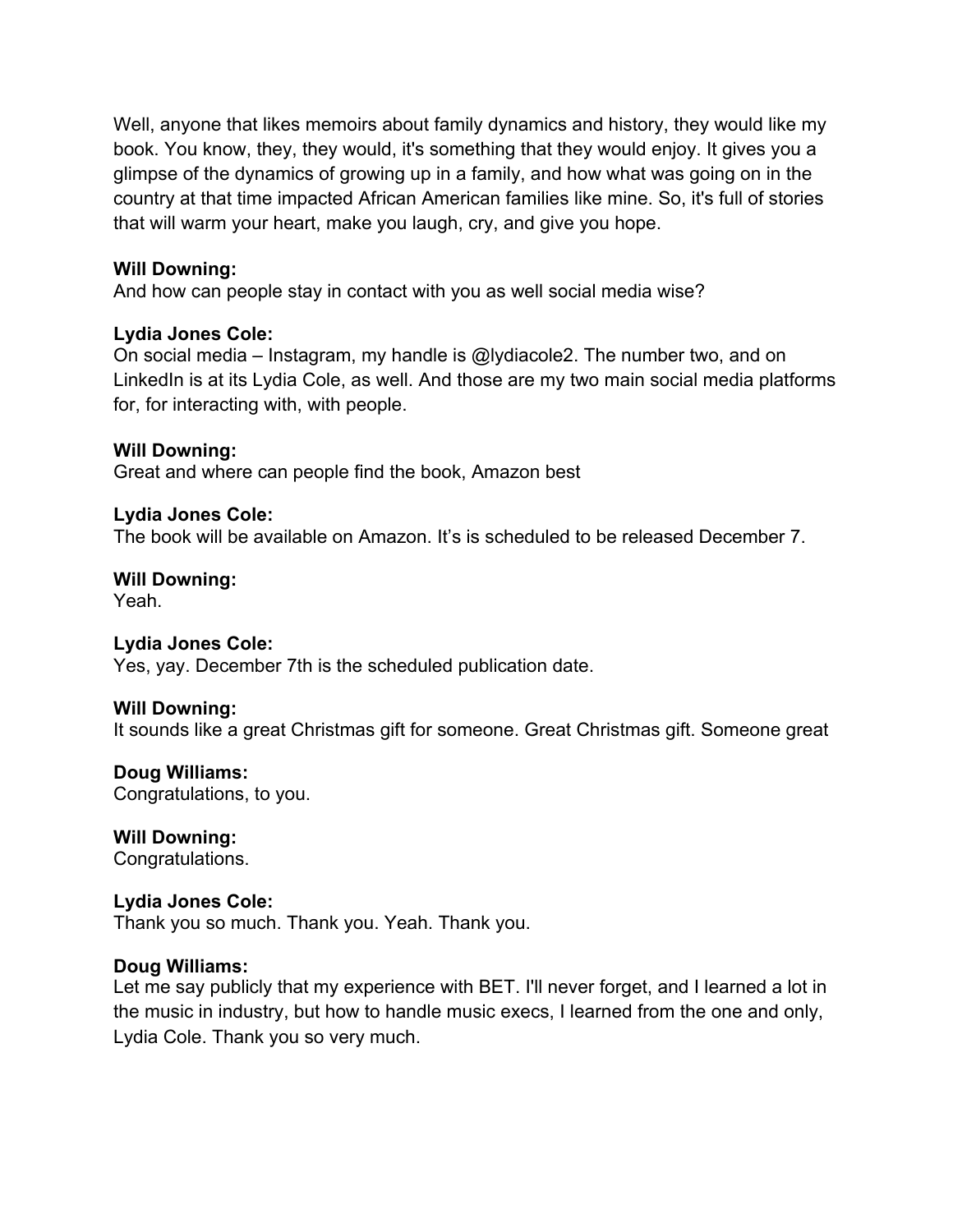Well, anyone that likes memoirs about family dynamics and history, they would like my book. You know, they, they would, it's something that they would enjoy. It gives you a glimpse of the dynamics of growing up in a family, and how what was going on in the country at that time impacted African American families like mine. So, it's full of stories that will warm your heart, make you laugh, cry, and give you hope.

#### **Will Downing:**

And how can people stay in contact with you as well social media wise?

#### **Lydia Jones Cole:**

On social media – Instagram, my handle is @lydiacole2. The number two, and on LinkedIn is at its Lydia Cole, as well. And those are my two main social media platforms for, for interacting with, with people.

#### **Will Downing:**

Great and where can people find the book, Amazon best

#### **Lydia Jones Cole:**

The book will be available on Amazon. It's is scheduled to be released December 7.

# **Will Downing:**

Yeah.

### **Lydia Jones Cole:**

Yes, yay. December 7th is the scheduled publication date.

#### **Will Downing:**

It sounds like a great Christmas gift for someone. Great Christmas gift. Someone great

### **Doug Williams:**

Congratulations, to you.

**Will Downing:** Congratulations.

### **Lydia Jones Cole:**

Thank you so much. Thank you. Yeah. Thank you.

#### **Doug Williams:**

Let me say publicly that my experience with BET. I'll never forget, and I learned a lot in the music in industry, but how to handle music execs, I learned from the one and only, Lydia Cole. Thank you so very much.